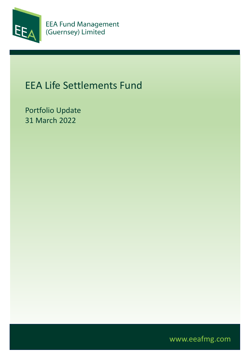

# EEA Life Settlements Fund

Portfolio Update 31 March 2022

www.eeafmg.com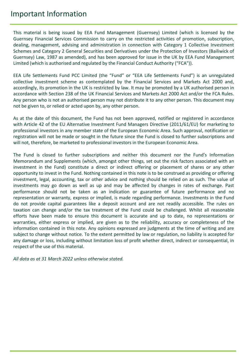#### Important Information

This material is being issued by EEA Fund Management (Guernsey) Limited (which is licensed by the Guernsey Financial Services Commission to carry on the restricted activities of promotion, subscription, dealing, management, advising and administration in connection with Category 1 Collective Investment Schemes and Category 2 General Securities and Derivatives under the Protection of Investors (Bailiwick of Guernsey) Law, 1987 as amended), and has been approved for issue in the UK by EEA Fund Management Limited (which is authorised and regulated by the Financial Conduct Authority ("FCA")).

EEA Life Settlements Fund PCC Limited (the "Fund" or "EEA Life Settlements Fund") is an unregulated collective investment scheme as contemplated by the Financial Services and Markets Act 2000 and, accordingly, its promotion in the UK is restricted by law. It may be promoted by a UK authorised person in accordance with Section 238 of the UK Financial Services and Markets Act 2000 Act and/or the FCA Rules. Any person who is not an authorised person may not distribute it to any other person. This document may not be given to, or relied or acted upon by, any other person.

As at the date of this document, the Fund has not been approved, notified or registered in accordance with Article 42 of the EU Alternative Investment Fund Managers Directive (2011/61/EU) for marketing to professional investors in any member state of the European Economic Area. Such approval, notification or registration will not be made or sought in the future since the Fund is closed to further subscriptions and will not, therefore, be marketed to professional investors in the European Economic Area.

The Fund is closed to further subscriptions and neither this document nor the Fund's Information Memorandum and Supplements (which, amongst other things, set out the risk factors associated with an investment in the Fund) constitute a direct or indirect offering or placement of shares or any other opportunity to invest in the Fund. Nothing contained in this note is to be construed as providing or offering investment, legal, accounting, tax or other advice and nothing should be relied on as such. The value of investments may go down as well as up and may be affected by changes in rates of exchange. Past performance should not be taken as an indication or guarantee of future performance and no representation or warranty, express or implied, is made regarding performance. Investments in the Fund do not provide capital guarantees like a deposit account and are not readily accessible. The rules on taxation can change and/or the tax treatment of the Fund could be challenged. Whilst all reasonable efforts have been made to ensure this document is accurate and up to date, no representations or warranties, either express or implied, are given as to the reliability, accuracy or completeness of the information contained in this note. Any opinions expressed are judgments at the time of writing and are subject to change without notice. To the extent permitted by law or regulation, no liability is accepted for any damage or loss, including without limitation loss of profit whether direct, indirect or consequential, in respect of the use of this material.

*All data as at 31 March 2022 unless otherwise stated.*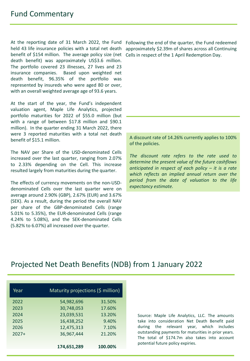At the reporting date of 31 March 2022, the Fund held 43 life insurance policies with a total net death benefit of \$154 million. The average policy size (net Cells in respect of the 1 April Redemption Day. death benefit) was approximately US\$3.6 million. The portfolio covered 23 illnesses, 27 lives and 23 insurance companies. Based upon weighted net death benefit, 96.35% of the portfolio was represented by insureds who were aged 80 or over, with an overall weighted average age of 93.6 years.

At the start of the year, the Fund's independent valuation agent, Maple Life Analytics, projected portfolio maturities for 2022 of \$55.0 million (but with a range of between \$17.8 million and \$90.1 million). In the quarter ending 31 March 2022, there were 3 reported maturities with a total net death benefit of \$15.1 million.

The NAV per Share of the USD-denominated Cells increased over the last quarter, ranging from 2.07% to 2.33% depending on the Cell. This increase resulted largely from maturities during the quarter.

The effects of currency movements on the non-USDdenominated Cells over the last quarter were on average around 2.90% (GBP), 2.67% (EUR) and 3.67% (SEK). As a result, during the period the overall NAV per share of the GBP-denominated Cells (range 5.01% to 5.35%), the EUR-denominated Cells (range 4.24% to 5.08%), and the SEK-denominated Cells (5.82% to 6.07%) all increased over the quarter.

Following the end of the quarter, the Fund redeemed approximately \$2.39m of shares across all Continuing

A discount rate of 14.26% currently applies to 100% of the policies.

*The discount rate refers to the rate used to determine the present value of the future cashflows anticipated in respect of each policy – it is a rate which reflects an implied annual return over the period from the date of valuation to the life expectancy estimate.*

#### Projected Net Death Benefits (NDB) from 1 January 2022

| Maturity projections (\$ million) |         |
|-----------------------------------|---------|
| 54,982,696                        | 31.50%  |
| 30,748,053                        | 17.60%  |
| 23,039,531                        | 13.20%  |
| 16,438,252                        | 9.40%   |
| 12,475,313                        | 7.10%   |
| 36,967,444                        | 21.20%  |
|                                   |         |
| 174,651,289                       | 100.00% |
|                                   |         |

Source: Maple Life Analytics, LLC. The amounts take into consideration Net Death Benefit paid during the relevant year, which includes outstanding payments for maturities in prior years. The total of \$174.7m also takes into account potential future policy expiries.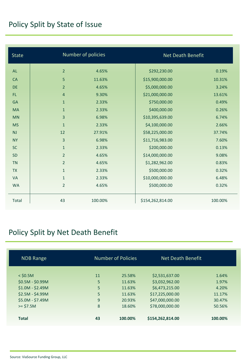# Policy Split by State of Issue

| <b>State</b> |                | Number of policies |                  | Net Death Benefit |  |
|--------------|----------------|--------------------|------------------|-------------------|--|
| <b>AL</b>    | $\overline{2}$ | 4.65%              | \$292,230.00     | 0.19%             |  |
| <b>CA</b>    | 5              | 11.63%             | \$15,900,000.00  | 10.31%            |  |
| <b>DE</b>    | $\overline{2}$ | 4.65%              | \$5,000,000.00   | 3.24%             |  |
| FL.          | $\overline{4}$ | 9.30%              | \$21,000,000.00  | 13.61%            |  |
| <b>GA</b>    | $\mathbf{1}$   | 2.33%              | \$750,000.00     | 0.49%             |  |
| <b>MA</b>    | $\mathbf{1}$   | 2.33%              | \$400,000.00     | 0.26%             |  |
| <b>MN</b>    | 3              | 6.98%              | \$10,395,639.00  | 6.74%             |  |
| <b>MS</b>    | $\mathbf{1}$   | 2.33%              | \$4,100,000.00   | 2.66%             |  |
| NJ           | 12             | 27.91%             | \$58,225,000.00  | 37.74%            |  |
| <b>NY</b>    | $\overline{3}$ | 6.98%              | \$11,716,983.00  | 7.60%             |  |
| <b>SC</b>    | $\mathbf{1}$   | 2.33%              | \$200,000.00     | 0.13%             |  |
| <b>SD</b>    | $\overline{2}$ | 4.65%              | \$14,000,000.00  | 9.08%             |  |
| <b>TN</b>    | $\overline{2}$ | 4.65%              | \$1,282,962.00   | 0.83%             |  |
| <b>TX</b>    | $\mathbf{1}$   | 2.33%              | \$500,000.00     | 0.32%             |  |
| <b>VA</b>    | $\mathbf{1}$   | 2.33%              | \$10,000,000.00  | 6.48%             |  |
| <b>WA</b>    | $\overline{2}$ | 4.65%              | \$500,000.00     | 0.32%             |  |
| Total        | 43             | 100.00%            | \$154,262,814.00 | 100.00%           |  |

# Policy Split by Net Death Benefit

| <b>NDB Range</b>  |    | <b>Number of Policies</b> | Net Death Benefit |         |
|-------------------|----|---------------------------|-------------------|---------|
| $<$ \$0.5M        | 11 | 25.58%                    | \$2,531,637.00    | 1.64%   |
| $$0.5M - $0.99M$$ | 5  | 11.63%                    | \$3,032,962.00    | 1.97%   |
| $$1.0M - $2.49M$  | 5  | 11.63%                    | \$6,473,215.00    | 4.20%   |
| $$2.5M - $4.99M$  | 5  | 11.63%                    | \$17,225,000.00   | 11.17%  |
| \$5.0M - \$7.49M  | 9  | 20.93%                    | \$47,000,000.00   | 30.47%  |
| $>= $7.5M$        | 8  | 18.60%                    | \$78,000,000.00   | 50.56%  |
|                   |    |                           |                   |         |
| <b>Total</b>      | 43 | 100.00%                   | \$154,262,814.00  | 100.00% |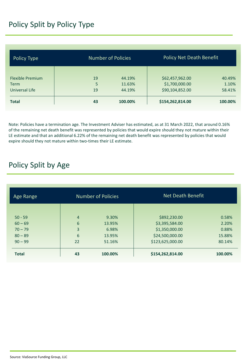### Policy Split by Policy Type

| Policy Type             |    | <b>Number of Policies</b> |                  | <b>Policy Net Death Benefit</b> |  |
|-------------------------|----|---------------------------|------------------|---------------------------------|--|
|                         |    |                           |                  |                                 |  |
| <b>Flexible Premium</b> | 19 | 44.19%                    | \$62,457,962.00  | 40.49%                          |  |
| Term                    | 5  | 11.63%                    | \$1,700,000.00   | 1.10%                           |  |
| Universal Life          | 19 | 44.19%                    | \$90,104,852.00  | 58.41%                          |  |
| <b>Total</b>            | 43 | 100.00%                   | \$154,262,814.00 | 100.00%                         |  |

Note: Policies have a termination age. The Investment Adviser has estimated, as at 31 March 2022, that around 0.16% of the remaining net death benefit was represented by policies that would expire should they not mature within their LE estimate and that an additional 6.22% of the remaining net death benefit was represented by policies that would expire should they not mature within two-times their LE estimate.

#### Policy Split by Age

| Age Range    | <b>Number of Policies</b> |         | Net Death Benefit |         |
|--------------|---------------------------|---------|-------------------|---------|
|              |                           |         |                   |         |
| $50 - 59$    | $\overline{4}$            | 9.30%   | \$892,230.00      | 0.58%   |
| $60 - 69$    | 6                         | 13.95%  | \$3,395,584.00    | 2.20%   |
| $70 - 79$    | 3                         | 6.98%   | \$1,350,000.00    | 0.88%   |
| $80 - 89$    | 6                         | 13.95%  | \$24,500,000.00   | 15.88%  |
| $90 - 99$    | 22                        | 51.16%  | \$123,625,000.00  | 80.14%  |
| <b>Total</b> | 43                        | 100.00% | \$154,262,814.00  | 100.00% |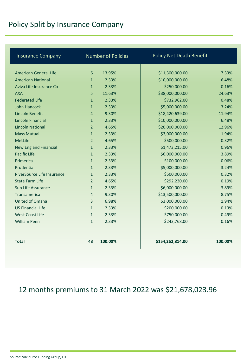# Policy Split by Insurance Company

| <b>Insurance Company</b>     | <b>Number of Policies</b> | <b>Policy Net Death Benefit</b> |         |
|------------------------------|---------------------------|---------------------------------|---------|
|                              |                           |                                 |         |
| American General Life        | 6<br>13.95%               | \$11,300,000.00                 | 7.33%   |
| <b>American National</b>     | 2.33%<br>$\mathbf{1}$     | \$10,000,000.00                 | 6.48%   |
| Aviva Life Insurance Co      | 2.33%<br>$\mathbf{1}$     | \$250,000.00                    | 0.16%   |
| <b>AXA</b>                   | 5<br>11.63%               | \$38,000,000.00                 | 24.63%  |
| <b>Federated Life</b>        | 2.33%<br>$\mathbf{1}$     | \$732,962.00                    | 0.48%   |
| John Hancock                 | 2.33%<br>$\mathbf{1}$     | \$5,000,000.00                  | 3.24%   |
| Lincoln Benefit              | 9.30%<br>$\overline{4}$   | \$18,420,639.00                 | 11.94%  |
| <b>Lincoln Financial</b>     | 2.33%<br>$\mathbf{1}$     | \$10,000,000.00                 | 6.48%   |
| <b>Lincoln National</b>      | 4.65%<br>$\overline{2}$   | \$20,000,000.00                 | 12.96%  |
| <b>Mass Mutual</b>           | 2.33%<br>$\mathbf{1}$     | \$3,000,000.00                  | 1.94%   |
| MetLife                      | 4.65%<br>$\overline{2}$   | \$500,000.00                    | 0.32%   |
| <b>New England Financial</b> | 2.33%<br>$\mathbf{1}$     | \$1,473,215.00                  | 0.96%   |
| Pacific Life                 | 2.33%<br>$\mathbf{1}$     | \$6,000,000.00                  | 3.89%   |
| Primerica                    | 2.33%<br>$\mathbf{1}$     | \$100,000.00                    | 0.06%   |
| Prudential                   | 2.33%<br>$\mathbf{1}$     | \$5,000,000.00                  | 3.24%   |
| RiverSource Life Insurance   | 2.33%<br>$\mathbf{1}$     | \$500,000.00                    | 0.32%   |
| <b>State Farm Life</b>       | $\overline{2}$<br>4.65%   | \$292,230.00                    | 0.19%   |
| Sun Life Assurance           | 2.33%<br>$\mathbf{1}$     | \$6,000,000.00                  | 3.89%   |
| Transamerica                 | 9.30%<br>$\overline{4}$   | \$13,500,000.00                 | 8.75%   |
| United of Omaha              | 6.98%<br>3                | \$3,000,000.00                  | 1.94%   |
| <b>US Financial Life</b>     | $\mathbf{1}$<br>2.33%     | \$200,000.00                    | 0.13%   |
| <b>West Coast Life</b>       | 2.33%<br>$\mathbf{1}$     | \$750,000.00                    | 0.49%   |
| <b>William Penn</b>          | $\mathbf{1}$<br>2.33%     | \$243,768.00                    | 0.16%   |
|                              |                           |                                 |         |
| <b>Total</b>                 | 43<br>100.00%             | \$154,262,814.00                | 100.00% |

### 12 months premiums to 31 March 2022 was \$21,678,023.96